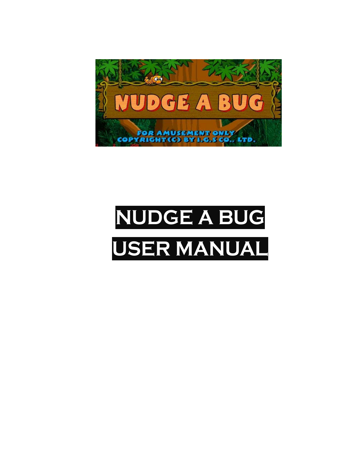

# **NUDGE A BUG USER MANUAL**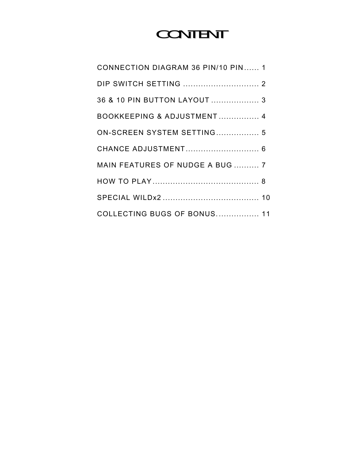## **CONTENT**

| CONNECTION DIAGRAM 36 PIN/10 PIN 1 |  |
|------------------------------------|--|
|                                    |  |
| 36 & 10 PIN BUTTON LAYOUT  3       |  |
| BOOKKEEPING & ADJUSTMENT 4         |  |
| ON-SCREEN SYSTEM SETTING 5         |  |
| CHANCE ADJUSTMENT 6                |  |
| MAIN FEATURES OF NUDGE A BUG  7    |  |
|                                    |  |
|                                    |  |
| <b>COLLECTING BUGS OF BONUS 11</b> |  |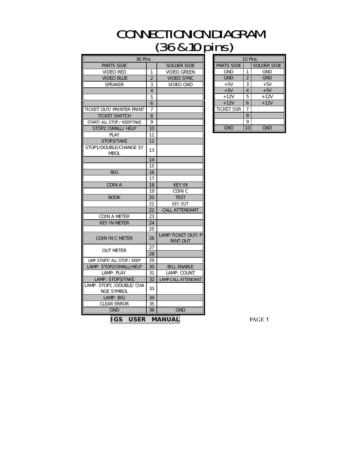#### **CONNECTIONION DIAGRAM** (36&10pins)

| 36 Pins                                       |                |                                        |                   | 10 Pins         |               |
|-----------------------------------------------|----------------|----------------------------------------|-------------------|-----------------|---------------|
| <b>PARTS SIDE</b>                             |                | <b>SOLDER SIDE</b>                     | PARTS SIDE        |                 | <b>SOLDER</b> |
| <b>VIDEO RED</b>                              | 1              | <b>VIDEO GREEN</b>                     | <b>GND</b>        | 1               | <b>GNI</b>    |
| <b>VIDEO BLUE</b>                             | $\overline{2}$ | <b>VIDEO SYNC</b>                      | <b>GND</b>        | $\mathbf 2$     | <b>GNI</b>    |
| <b>SPEAKER</b>                                | 3              | <b>VIDEO GND</b>                       | $+5V$             | 3               | $+5$          |
|                                               | $\overline{4}$ |                                        | $+5V$             | $\overline{4}$  | $+5$          |
|                                               | 5              |                                        | $+12V$            | 5               | +12           |
|                                               | 6              |                                        | $+12V$            | 6               | $+12$         |
| TICKET OUT/ PRINTER PRINT                     | 7              |                                        | <b>TICKET SSR</b> | 7               |               |
| <b>TICKET SWITCH</b>                          | 8              |                                        |                   | 8               |               |
| START/ ALL STOP / KEEP/TAKE                   | 9              |                                        |                   | 9               |               |
| STOP2 / SMALL / HELP                          | 10             |                                        | <b>GND</b>        | 10 <sup>1</sup> | <b>GNI</b>    |
| <b>PLAY</b>                                   | 11             |                                        |                   |                 |               |
| STOP3/TAKE                                    | 12             |                                        |                   |                 |               |
| STOP1/DOUBLE/CHANGE SY<br><b>MBOL</b>         | 13             |                                        |                   |                 |               |
|                                               | 14             |                                        |                   |                 |               |
|                                               | 15             |                                        |                   |                 |               |
| <b>BIG</b>                                    | 16             |                                        |                   |                 |               |
|                                               | 17             |                                        |                   |                 |               |
| <b>COIN A</b>                                 | 18             | <b>KEY IN</b>                          |                   |                 |               |
|                                               | 19             | COIN <sub>C</sub>                      |                   |                 |               |
| <b>BOOK</b>                                   | 20             | <b>TEST</b>                            |                   |                 |               |
|                                               | 21             | <b>KEY OUT</b>                         |                   |                 |               |
|                                               | 22             | <b>CALL ATTENDANT</b>                  |                   |                 |               |
| <b>COIN A METER</b>                           | 23             |                                        |                   |                 |               |
| <b>KEY IN METER</b>                           | 24             |                                        |                   |                 |               |
|                                               | 25             |                                        |                   |                 |               |
| COIN IN C METER                               | 26             | LAMP: TICKET OUT/ P<br><b>RINT OUT</b> |                   |                 |               |
|                                               | 27             |                                        |                   |                 |               |
| <b>OUT METER</b>                              | 28             |                                        |                   |                 |               |
| LAMP: START/ ALL STOP / KEEP                  | 29             |                                        |                   |                 |               |
| LAMP: STOP2/SMALL/HELP                        | 30             | <b>BILL ENABLE</b>                     |                   |                 |               |
| LAMP: PLAY                                    | 31             | LAMP: COUNT                            |                   |                 |               |
| LAMP: STOP3/TAKE                              | 32             | LAMP: CALL ATTENDANT                   |                   |                 |               |
| LAMP: STOP1 /DOUBLE/ CHA<br><b>NGE SYMBOL</b> | 33             |                                        |                   |                 |               |
| LAMP: BIG                                     | 34             |                                        |                   |                 |               |
| <b>CLEAR ERROR</b>                            | 35             |                                        |                   |                 |               |
| <b>GND</b>                                    | 36             | <b>GND</b>                             |                   |                 |               |
|                                               |                |                                        |                   |                 |               |
| IGS USER MANUAL                               |                |                                        |                   |                 | PAGE 1        |

|                   | 10 Pins |                    |
|-------------------|---------|--------------------|
| <b>PARTS SIDE</b> |         | <b>SOLDER SIDE</b> |
| <b>GND</b>        | 1       | <b>GND</b>         |
| <b>GND</b>        | 2       | <b>GND</b>         |
| $+5V$             | 3       | $+5V$              |
| $+5V$             | 4       | $+5V$              |
| $+12V$            | 5       | $+12V$             |
| $+12V$            | 6       | $+12V$             |
| <b>TICKET SSR</b> | 7       |                    |
|                   | 8       |                    |
|                   | 9       |                    |
| <b>GND</b>        |         | GND                |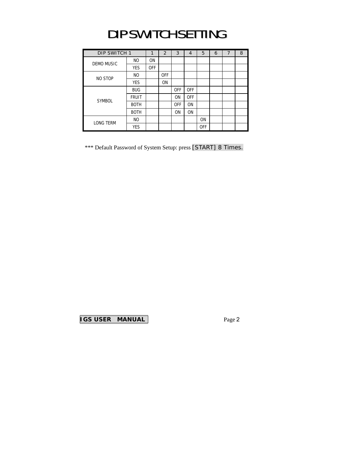## DIP SWITCH SETTING

| DIP SWITCH 1      |                | 1          | 2          | 3          | $\overline{4}$ | 5          | 6 | $\overline{7}$ | 8 |
|-------------------|----------------|------------|------------|------------|----------------|------------|---|----------------|---|
| <b>DEMO MUSIC</b> | N <sub>O</sub> | <b>ON</b>  |            |            |                |            |   |                |   |
|                   | <b>YES</b>     | <b>OFF</b> |            |            |                |            |   |                |   |
| NO STOP           | N <sub>O</sub> |            | <b>OFF</b> |            |                |            |   |                |   |
|                   | <b>YES</b>     |            | <b>ON</b>  |            |                |            |   |                |   |
|                   | <b>BUG</b>     |            |            | <b>OFF</b> | <b>OFF</b>     |            |   |                |   |
| <b>SYMBOL</b>     | <b>FRUIT</b>   |            |            | <b>ON</b>  | <b>OFF</b>     |            |   |                |   |
|                   | <b>BOTH</b>    |            |            | <b>OFF</b> | <b>ON</b>      |            |   |                |   |
|                   | <b>BOTH</b>    |            |            | <b>ON</b>  | <b>ON</b>      |            |   |                |   |
| <b>LONG TERM</b>  | N <sub>O</sub> |            |            |            |                | <b>ON</b>  |   |                |   |
|                   | <b>YES</b>     |            |            |            |                | <b>OFF</b> |   |                |   |

\*\*\* Default Password of System Setup: press [START] 8 Times.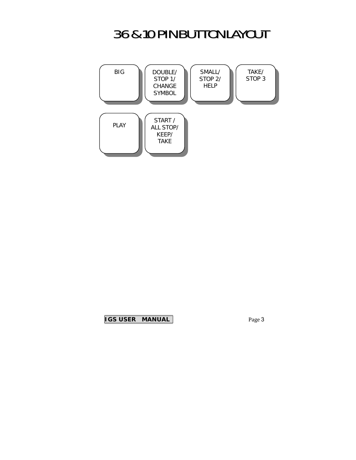#### 36&10PINBUTTONLAYOUT

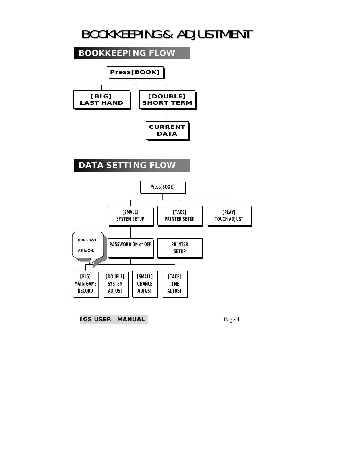#### BOOKKEEPING& ADJUSTMENT

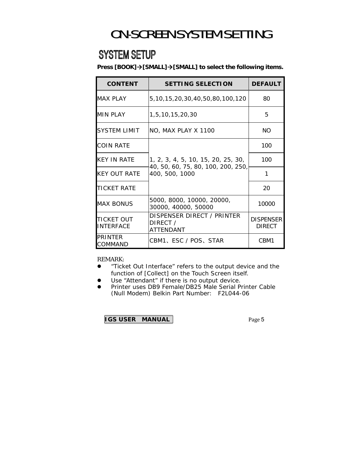## ON-SCREEN SYSTEM SETTING

#### **SYSTEM SETUP**

**Press [BOOK]→[SMALL]→[SMALL] to select the following items.** 

| <b>CONTENT</b>                 | <b>SETTING SELECTION</b>                             | <b>DEFAULT</b>                    |
|--------------------------------|------------------------------------------------------|-----------------------------------|
| <b>MAX PLAY</b>                | 5, 10, 15, 20, 30, 40, 50, 80, 100, 120              | 80                                |
| <b>MIN PLAY</b>                | 1,5,10,15,20,30                                      | 5                                 |
| SYSTEM LIMIT                   | NO, MAX PLAY X 1100                                  | <b>NO</b>                         |
| <b>COIN RATE</b>               |                                                      | 100                               |
| KFY IN RATF                    | 1, 2, 3, 4, 5, 10, 15, 20, 25, 30,                   | 100                               |
| <b>KEY OUT RATE</b>            | 40, 50, 60, 75, 80, 100, 200, 250,<br>400, 500, 1000 | 1                                 |
| <b>TICKET RATE</b>             |                                                      | 20                                |
| <b>MAX BONUS</b>               | 5000, 8000, 10000, 20000,<br>30000, 40000, 50000     | 10000                             |
| TICKET OUT<br><b>INTERFACE</b> | DISPENSER DIRECT / PRINTER<br>DIRECT /<br>ATTFNDANT  | <b>DISPENSER</b><br><b>DIRECT</b> |
| PRINTFR<br>COMMAND             | CBM1、ESC / POS、STAR                                  | CBM1                              |

REMARK:

- "Ticket Out Interface" refers to the output device and the function of [Collect] on the Touch Screen itself.
- Use "Attendant" if there is no output device.
- **•** Printer uses DB9 Female/DB25 Male Serial Printer Cable (Null Modem) Belkin Part Number: F2L044-06

|  | <b>IGS USER MANUAL</b> |
|--|------------------------|
|--|------------------------|

Page 5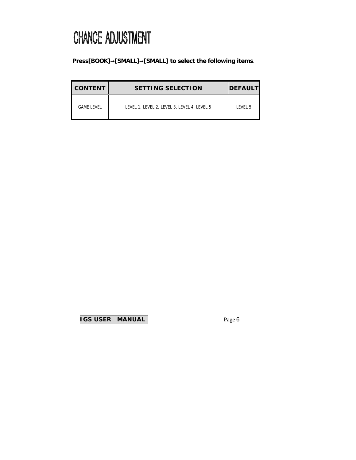## **CHANCE ADJUSTMENT**

#### **Press[BOOK]**→**[SMALL]**→**[SMALL] to select the following items**.

| <b>CONTENT</b>    | <b>SETTING SELECTION</b>                    | <b>DEFAULT</b> |
|-------------------|---------------------------------------------|----------------|
| <b>GAME LEVEL</b> | LEVEL 1, LEVEL 2, LEVEL 3, LEVEL 4, LEVEL 5 | LEVEL 5        |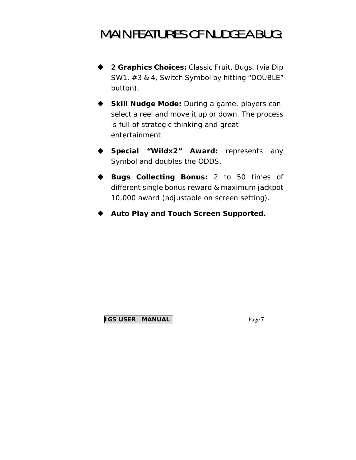#### **MAIN FEATURES OF NUDGE A BUG:**

- **2 Graphics Choices:** Classic Fruit, Bugs. (via Dip SW1, #3 & 4, Switch Symbol by hitting "DOUBLE" button).
- ◆ **Skill Nudge Mode:** During a game, players can select a reel and move it up or down. The process is full of strategic thinking and great entertainment.
- **Special "Wildx2" Award:** represents any Symbol and doubles the ODDS.
- **Bugs Collecting Bonus:** 2 to 50 times of different single bonus reward & maximum jackpot 10,000 award (adjustable on screen setting).
- **Auto Play and Touch Screen Supported.**

#### **IGS USER MANUAL**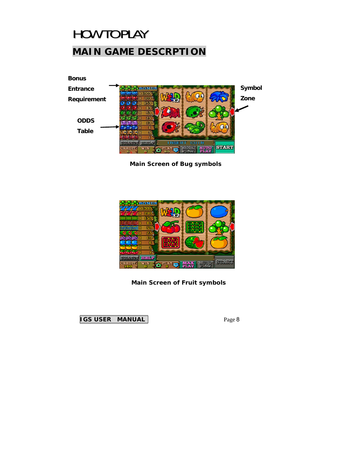## **HOW TO PLAY MAIN GAME DESCRPTION**



**Main Screen of Bug symbols** 



**Main Screen of Fruit symbols**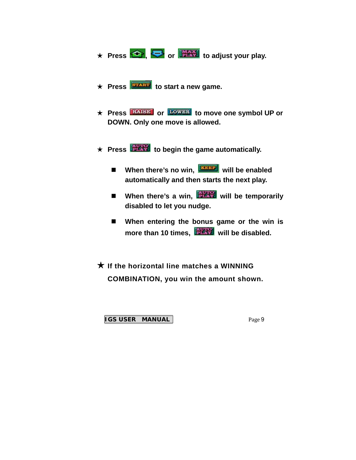- ★ Press **← , or FAX** to adjust your play.
- **★ Press EXAMPLE** to start a new game.
- ★ Press **RAISE** or **LOWER** to move one symbol UP or **DOWN. Only one move is allowed.**
- ★ **Press to begin the game automatically.** 
	- **When there's no win, WEBBP** will be enabled **automatically and then starts the next play.**
	- **E** When there's a win, **WHAN** will be temporarily **disabled to let you nudge.**
	- When entering the bonus game or the win is more than 10 times, **WARED** will be disabled.

★ **If the horizontal line matches a WINNING COMBINATION, you win the amount shown.**

**IGS USER MANUAL**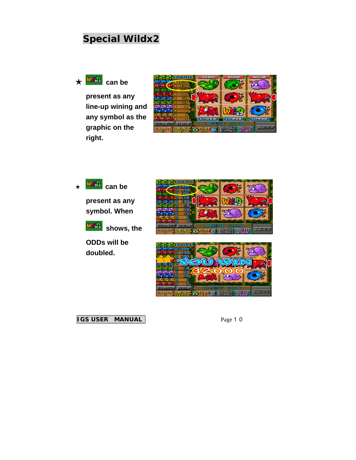#### **Special Wildx2**



**present as any line-up wining and any symbol as the graphic on the right.**